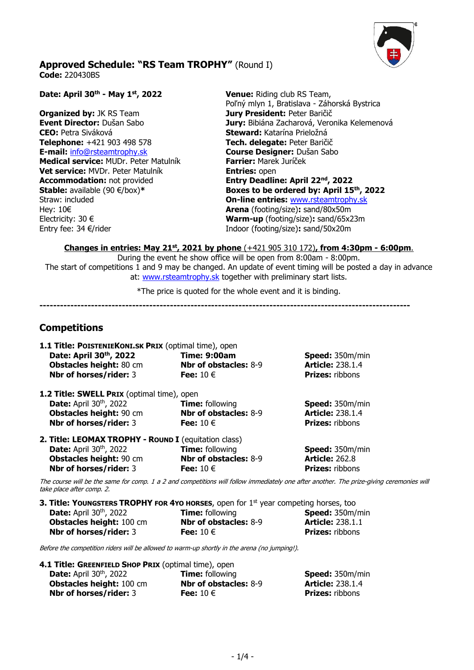

## **Approved Schedule: "RS Team TROPHY"** (Round I) **Code:** 220430BS

**Date: April 30th - May 1st, 2022 Venue:** Riding club RS Team, Poľný mlyn 1, Bratislava - Záhorská Bystrica **Organized by:** JK RS Team **Jury President:** Peter Baričič **Event Director:** Dušan Sabo **Jury:** Bibiána Zacharová, Veronika Kelemenová **CEO:** Petra Siváková **Steward:** Katarína Prieložná **Telephone:** +421 903 498 578 **Tech. delegate:** Peter Baričič **E-mail:** [info@rsteamtrophy.sk](mailto:info@rsteamtrophy.sk) **Course Designer:** Dušan Sabo **Medical service:** MUDr. Peter Matulník **Farrier:** Marek Juríček **Vet service:** MVDr. Peter Matulník **Entries:** open **Accommodation:** not provided **Entry Deadline: April 22nd, 2022 Stable:** available (90 €/box)**\* Boxes to be ordered by: April 15th, 2022**  Straw: included **On-line entries:** [www.rsteamtrophy.sk](http://www.rsteamtrophy.sk/) Hey: 10€ **Arena** (footing/size)**:** sand/80x50m Electricity: 30 € **Warm-up** (footing/size)**:** sand/65x23m Entry fee: 34 €/riderIndoor (footing/size)**:** sand/50x20m

**Changes in entries: May 21st, 2021 by phone** (+421 905 310 172)**, from 4:30pm - 6:00pm**.

During the event he show office will be open from 8:00am - 8:00pm. The start of competitions 1 and 9 may be changed. An update of event timing will be posted a day in advance at: [www.rsteamtrophy.sk](http://www.rsteamtrophy.sk/) together with preliminary start lists.

\*The price is quoted for the whole event and it is binding.

**------------------------------------------------------------------------------------------------------------**

## **Competitions**

| 1.1 Title: POISTENIEKONI.SK PRIX (optimal time), open                                           |                              |                                                                                                                                          |
|-------------------------------------------------------------------------------------------------|------------------------------|------------------------------------------------------------------------------------------------------------------------------------------|
| Date: April 30th, 2022                                                                          | <b>Time: 9:00am</b>          | <b>Speed:</b> 350m/min                                                                                                                   |
| <b>Obstacles height: 80 cm</b>                                                                  | <b>Nbr of obstacles: 8-9</b> | <b>Article: 238.1.4</b>                                                                                                                  |
| Nbr of horses/rider: 3                                                                          | Fee: $10 \in$                | <b>Prizes: ribbons</b>                                                                                                                   |
| 1.2 Title: SWELL PRIX (optimal time), open                                                      |                              |                                                                                                                                          |
| <b>Date:</b> April 30 <sup>th</sup> , 2022                                                      | <b>Time:</b> following       | <b>Speed:</b> 350m/min                                                                                                                   |
| Obstacles height: 90 cm                                                                         | <b>Nbr of obstacles: 8-9</b> | <b>Article: 238.1.4</b>                                                                                                                  |
| <b>Nbr of horses/rider: 3</b>                                                                   | Fee: $10 \in$                | <b>Prizes: ribbons</b>                                                                                                                   |
| 2. Title: LEOMAX TROPHY - ROUND I (equitation class)                                            |                              |                                                                                                                                          |
| <b>Date:</b> April $30th$ , 2022                                                                | <b>Time:</b> following       | <b>Speed: 350m/min</b>                                                                                                                   |
| <b>Obstacles height: 90 cm</b>                                                                  | <b>Nbr of obstacles: 8-9</b> | <b>Article: 262.8</b>                                                                                                                    |
| <b>Nbr of horses/rider: 3</b>                                                                   | Fee: $10 \in$                | <b>Prizes:</b> ribbons                                                                                                                   |
| take place after comp. 2.                                                                       |                              | The course will be the same for comp. 1 a 2 and competitions will follow immediately one after another. The prize-giving ceremonies will |
| 3. Title: YOUNGSTERS TROPHY FOR 4YO HORSES, open for 1 <sup>st</sup> year competing horses, too |                              |                                                                                                                                          |

**Date:** April 30<sup>th</sup>, 2022 , 2022 **Time:** following **Speed:** 350m/min **Obstacles height:** 100 cm **Nbr of obstacles:** 8-9 **Article:** 238.1.1 **Nbr of horses/rider:** 3 **Fee:** 10 € **Prizes:** ribbons

Before the competition riders will be allowed to warm-up shortly in the arena (no jumping!).

| 4.1 Title: GREENFIELD SHOP PRIX (optimal time), open |                              |                         |
|------------------------------------------------------|------------------------------|-------------------------|
| <b>Date:</b> April 30 <sup>th</sup> , 2022           | <b>Time:</b> following       | <b>Speed:</b> 350m/min  |
| <b>Obstacles height: 100 cm</b>                      | <b>Nbr of obstacles: 8-9</b> | <b>Article: 238.1.4</b> |
| <b>Nbr of horses/rider: 3</b>                        | Fee: $10 \in$                | <b>Prizes: ribbons</b>  |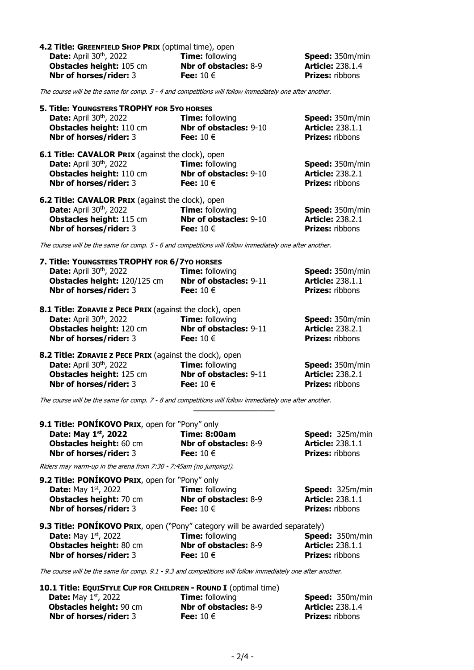| 4.2 Title: GREENFIELD SHOP PRIX (optimal time), open |                              |                         |
|------------------------------------------------------|------------------------------|-------------------------|
| <b>Date:</b> April $30th$ , 2022                     | <b>Time:</b> following       | <b>Speed:</b> 350m/min  |
| <b>Obstacles height: 105 cm</b>                      | <b>Nbr of obstacles: 8-9</b> | <b>Article: 238.1.4</b> |
| <b>Nbr of horses/rider: 3</b>                        | Fee: $10 \in$                | <b>Prizes:</b> ribbons  |

The course will be the same for comp. 3 - 4 and competitions will follow immediately one after another.

| 5. Title: YOUNGSTERS TROPHY FOR 5YO HORSES<br><b>Date:</b> April 30 <sup>th</sup> , 2022<br>Obstacles height: 110 cm<br>Nbr of horses/rider: 3                      | <b>Time:</b> following<br>Nbr of obstacles: 9-10<br>Fee: $10 \in$        | Speed: 350m/min<br><b>Article: 238.1.1</b><br><b>Prizes: ribbons</b>        |
|---------------------------------------------------------------------------------------------------------------------------------------------------------------------|--------------------------------------------------------------------------|-----------------------------------------------------------------------------|
| <b>6.1 Title: CAVALOR PRIX (against the clock), open</b><br><b>Date:</b> April 30 <sup>th</sup> , 2022<br><b>Obstacles height: 110 cm</b><br>Nbr of horses/rider: 3 | <b>Time: following</b><br>Nbr of obstacles: 9-10<br>Fee: $10 \in$        | <b>Speed: 350m/min</b><br><b>Article: 238.2.1</b><br><b>Prizes: ribbons</b> |
| 6.2 Title: CAVALOR PRIX (against the clock), open<br>Date: April 30 <sup>th</sup> , 2022<br><b>Obstacles height: 115 cm</b><br>Nbr of horses/rider: 3               | <b>Time: following</b><br>Nbr of obstacles: 9-10<br>Fee: $10 \in$        | <b>Speed:</b> 350m/min<br><b>Article: 238.2.1</b><br><b>Prizes: ribbons</b> |
| The course will be the same for comp. 5 - 6 and competitions will follow immediately one after another.                                                             |                                                                          |                                                                             |
| 7. Title: YOUNGSTERS TROPHY FOR 6/7YO HORSES<br>Date: April 30th, 2022<br>Obstacles height: 120/125 cm<br>Nbr of horses/rider: 3                                    | <b>Time: following</b><br><b>Nbr of obstacles: 9-11</b><br>Fee: $10 \in$ | <b>Speed: 350m/min</b><br><b>Article: 238.1.1</b><br><b>Prizes: ribbons</b> |
| 8.1 Title: ZDRAVIE Z PECE PRIX (against the clock), open<br>Date: April 30th, 2022<br><b>Obstacles height: 120 cm</b><br>Nbr of horses/rider: 3                     | <b>Time:</b> following<br>Nbr of obstacles: 9-11<br>Fee: $10 \in$        | <b>Speed: 350m/min</b><br><b>Article: 238.2.1</b><br><b>Prizes: ribbons</b> |

| 8.2 Title: ZDRAVIE Z PECE PRIX (against the clock), open |                        |                         |
|----------------------------------------------------------|------------------------|-------------------------|
| <b>Date:</b> April $30th$ , 2022                         | <b>Time:</b> following | <b>Speed:</b> 350m/min  |
| <b>Obstacles height: 125 cm</b>                          | Nbr of obstacles: 9-11 | <b>Article: 238.2.1</b> |
| <b>Nbr of horses/rider: 3</b>                            | Fee: $10 \in$          | <b>Prizes: ribbons</b>  |

The course will be the same for comp. 7 - 8 and competitions will follow immediately one after another.

| 9.1 Title: PONÍKOVO PRIX, open for "Pony" only |                              |                         |
|------------------------------------------------|------------------------------|-------------------------|
| Date: May $1st$ , 2022                         | <b>Time: 8:00am</b>          | <b>Speed:</b> 325m/min  |
| <b>Obstacles height: 60 cm</b>                 | <b>Nbr of obstacles: 8-9</b> | <b>Article: 238.1.1</b> |
| <b>Nbr of horses/rider: 3</b>                  | Fee: $10 \in$                | <b>Prizes:</b> ribbons  |
|                                                |                              |                         |

**\_\_\_\_\_\_\_\_\_\_\_\_\_\_\_\_\_\_\_\_**

Riders may warm-up in the arena from 7:30 - 7:45am (no jumping!).

| <b>9.2 Title: PONIKOVO PRIX, open for "Pony" only</b> |                              |                         |
|-------------------------------------------------------|------------------------------|-------------------------|
| <b>Date:</b> May $1st$ , 2022                         | <b>Time:</b> following       | <b>Speed:</b> 325m/min  |
| <b>Obstacles height: 70 cm</b>                        | <b>Nbr of obstacles: 8-9</b> | <b>Article: 238.1.1</b> |
| <b>Nbr of horses/rider: 3</b>                         | Fee: $10 \in$                | <b>Prizes:</b> ribbons  |
|                                                       |                              |                         |

|                                | <b>9.3 Title: PONIKOVO PRIX</b> , open ("Pony" category will be awarded separately) |                         |
|--------------------------------|-------------------------------------------------------------------------------------|-------------------------|
| <b>Date:</b> May $1st$ , 2022  | <b>Time:</b> following                                                              | <b>Speed:</b> 350m/min  |
| <b>Obstacles height: 80 cm</b> | <b>Nbr of obstacles: 8-9</b>                                                        | <b>Article: 238.1.1</b> |
| <b>Nbr of horses/rider: 3</b>  | Fee: $10 \in$                                                                       | <b>Prizes:</b> ribbons  |

The course will be the same for comp. 9.1 - 9.3 and competitions will follow immediately one after another.

| 10.1 Title: EQUISTYLE CUP FOR CHILDREN - ROUND I (optimal time) |                              |                         |
|-----------------------------------------------------------------|------------------------------|-------------------------|
| <b>Date:</b> May $1st$ , 2022                                   | <b>Time:</b> following       | <b>Speed:</b> 350m/min  |
| <b>Obstacles height: 90 cm</b>                                  | <b>Nbr of obstacles: 8-9</b> | <b>Article: 238.1.4</b> |
| <b>Nbr of horses/rider: 3</b>                                   | Fee: $10 \in$                | <b>Prizes:</b> ribbons  |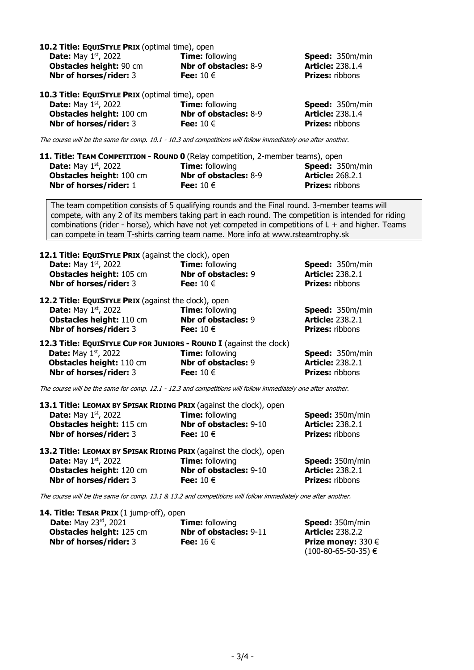| 10.2 Title: EQUISTYLE PRIX (optimal time), open<br><b>Date:</b> May 1st, 2022<br><b>Obstacles height: 90 cm</b><br>Nbr of horses/rider: 3                                                                                                                                                                                                                                                         | <b>Time:</b> following<br><b>Nbr of obstacles: 8-9</b><br>Fee: $10 \in$ | Speed: 350m/min<br><b>Article: 238.1.4</b><br><b>Prizes: ribbons</b>        |  |
|---------------------------------------------------------------------------------------------------------------------------------------------------------------------------------------------------------------------------------------------------------------------------------------------------------------------------------------------------------------------------------------------------|-------------------------------------------------------------------------|-----------------------------------------------------------------------------|--|
| 10.3 Title: EQUISTYLE PRIX (optimal time), open<br><b>Date:</b> May 1st, 2022<br>Obstacles height: 100 cm<br>Nbr of horses/rider: 3                                                                                                                                                                                                                                                               | <b>Time:</b> following<br><b>Nbr of obstacles: 8-9</b><br>Fee: $10 \in$ | Speed: 350m/min<br><b>Article: 238.1.4</b><br><b>Prizes:</b> ribbons        |  |
| The course will be the same for comp. 10.1 - 10.3 and competitions will follow immediately one after another.                                                                                                                                                                                                                                                                                     |                                                                         |                                                                             |  |
| 11. Title: TEAM COMPETITION - ROUND 0 (Relay competition, 2-member teams), open<br><b>Date:</b> May $1st$ , 2022<br>Obstacles height: 100 cm<br>Nbr of horses/rider: 1                                                                                                                                                                                                                            | <b>Time:</b> following<br><b>Nbr of obstacles: 8-9</b><br>Fee: $10 \in$ | Speed: 350m/min<br><b>Article: 268.2.1</b><br><b>Prizes: ribbons</b>        |  |
| The team competition consists of 5 qualifying rounds and the Final round. 3-member teams will<br>compete, with any 2 of its members taking part in each round. The competition is intended for riding<br>combinations (rider - horse), which have not yet competed in competitions of $L +$ and higher. Teams<br>can compete in team T-shirts carring team name. More info at www.rsteamtrophy.sk |                                                                         |                                                                             |  |
| 12.1 Title: EQUISTYLE PRIX (against the clock), open<br><b>Date:</b> May 1st, 2022<br>Obstacles height: 105 cm<br>Nbr of horses/rider: 3                                                                                                                                                                                                                                                          | <b>Time: following</b><br><b>Nbr of obstacles: 9</b><br>Fee: $10 \in$   | Speed: 350m/min<br><b>Article: 238.2.1</b><br><b>Prizes: ribbons</b>        |  |
| 12.2 Title: EQUISTYLE PRIX (against the clock), open<br><b>Date:</b> May $1st$ , 2022<br>Obstacles height: 110 cm<br>Nbr of horses/rider: 3                                                                                                                                                                                                                                                       | <b>Time: following</b><br><b>Nbr of obstacles: 9</b><br>Fee: $10 \in$   | Speed: 350m/min<br><b>Article: 238.2.1</b><br><b>Prizes: ribbons</b>        |  |
| 12.3 Title: EQUISTYLE CUP FOR JUNIORS - ROUND I (against the clock)<br><b>Date:</b> May $1st$ , 2022<br>Obstacles height: 110 cm<br>Nbr of horses/rider: 3                                                                                                                                                                                                                                        | <b>Time:</b> following<br><b>Nbr of obstacles: 9</b><br>Fee: $10 \in$   | Speed: 350m/min<br><b>Article: 238.2.1</b><br><b>Prizes: ribbons</b>        |  |
| The course will be the same for comp. 12.1 - 12.3 and competitions will follow immediately one after another.                                                                                                                                                                                                                                                                                     |                                                                         |                                                                             |  |
| 13.1 Title: LEOMAX BY SPISAK RIDING PRIX (against the clock), open<br><b>Date:</b> May $1st$ , 2022<br>Obstacles height: 115 cm<br>Nbr of horses/rider: 3                                                                                                                                                                                                                                         | <b>Time: following</b><br>Nbr of obstacles: 9-10<br>Fee: $10 \in$       | <b>Speed: 350m/min</b><br><b>Article: 238.2.1</b><br><b>Prizes: ribbons</b> |  |
| 13.2 Title: LEOMAX BY SPISAK RIDING PRIX (against the clock), open<br><b>Date:</b> May $1st$ , 2022<br>Obstacles height: 120 cm<br>Nbr of horses/rider: 3                                                                                                                                                                                                                                         | <b>Time: following</b><br>Nbr of obstacles: 9-10<br>Fee: $10 \in$       | Speed: 350m/min<br><b>Article: 238.2.1</b><br><b>Prizes: ribbons</b>        |  |
| The course will be the same for comp. 13.1 & 13.2 and competitions will follow immediately one after another.                                                                                                                                                                                                                                                                                     |                                                                         |                                                                             |  |
| 14. Title: TESAR PRIX (1 jump-off), open                                                                                                                                                                                                                                                                                                                                                          |                                                                         |                                                                             |  |

| <b>IT. HUG. ILSAN F NIA (1 JUNIO 011), OPCH</b> |                                    |
|-------------------------------------------------|------------------------------------|
| <b>Time:</b> following                          | <b>Speed:</b> 350m/min             |
| <b>Nbr of obstacles: 9-11</b>                   | <b>Article: 238.2.2</b>            |
| Fee: $16 \in$                                   | <b>Prize money:</b> 330 $\epsilon$ |
|                                                 | $(100-80-65-50-35) \in$            |
|                                                 |                                    |